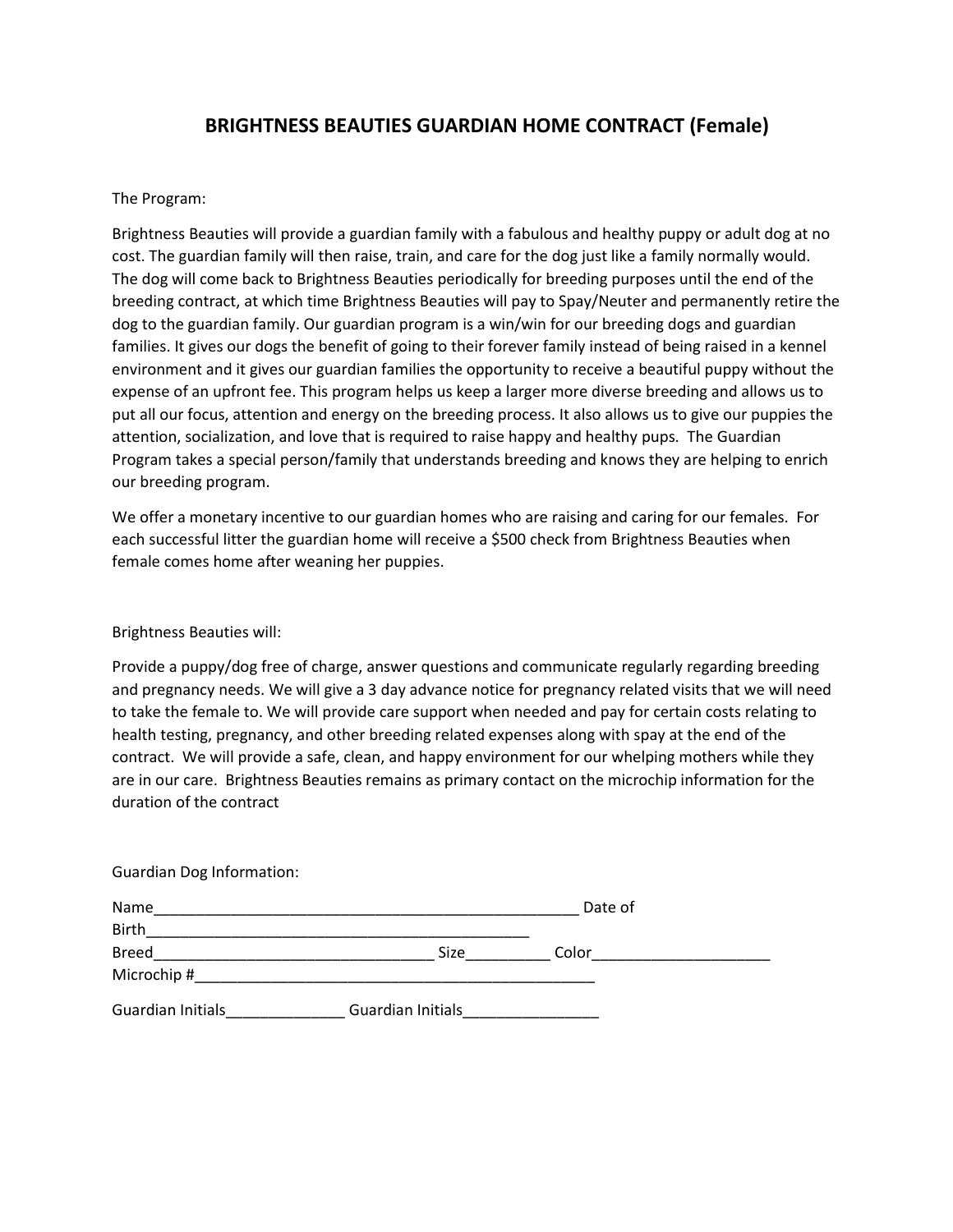# **BRIGHTNESS BEAUTIES GUARDIAN HOME CONTRACT (Female)**

### The Program:

Brightness Beauties will provide a guardian family with a fabulous and healthy puppy or adult dog at no cost. The guardian family will then raise, train, and care for the dog just like a family normally would. The dog will come back to Brightness Beauties periodically for breeding purposes until the end of the breeding contract, at which time Brightness Beauties will pay to Spay/Neuter and permanently retire the dog to the guardian family. Our guardian program is a win/win for our breeding dogs and guardian families. It gives our dogs the benefit of going to their forever family instead of being raised in a kennel environment and it gives our guardian families the opportunity to receive a beautiful puppy without the expense of an upfront fee. This program helps us keep a larger more diverse breeding and allows us to put all our focus, attention and energy on the breeding process. It also allows us to give our puppies the attention, socialization, and love that is required to raise happy and healthy pups. The Guardian Program takes a special person/family that understands breeding and knows they are helping to enrich our breeding program.

We offer a monetary incentive to our guardian homes who are raising and caring for our females. For each successful litter the guardian home will receive a \$500 check from Brightness Beauties when female comes home after weaning her puppies.

Brightness Beauties will:

Provide a puppy/dog free of charge, answer questions and communicate regularly regarding breeding and pregnancy needs. We will give a 3 day advance notice for pregnancy related visits that we will need to take the female to. We will provide care support when needed and pay for certain costs relating to health testing, pregnancy, and other breeding related expenses along with spay at the end of the contract. We will provide a safe, clean, and happy environment for our whelping mothers while they are in our care. Brightness Beauties remains as primary contact on the microchip information for the duration of the contract

| <b>Guardian Dog Information:</b> |                   |         |  |
|----------------------------------|-------------------|---------|--|
| Name                             |                   | Date of |  |
| <b>Birth</b>                     |                   |         |  |
| <b>Breed</b>                     | Size              | Color   |  |
| Microchip#                       |                   |         |  |
| Guardian Initials                | Guardian Initials |         |  |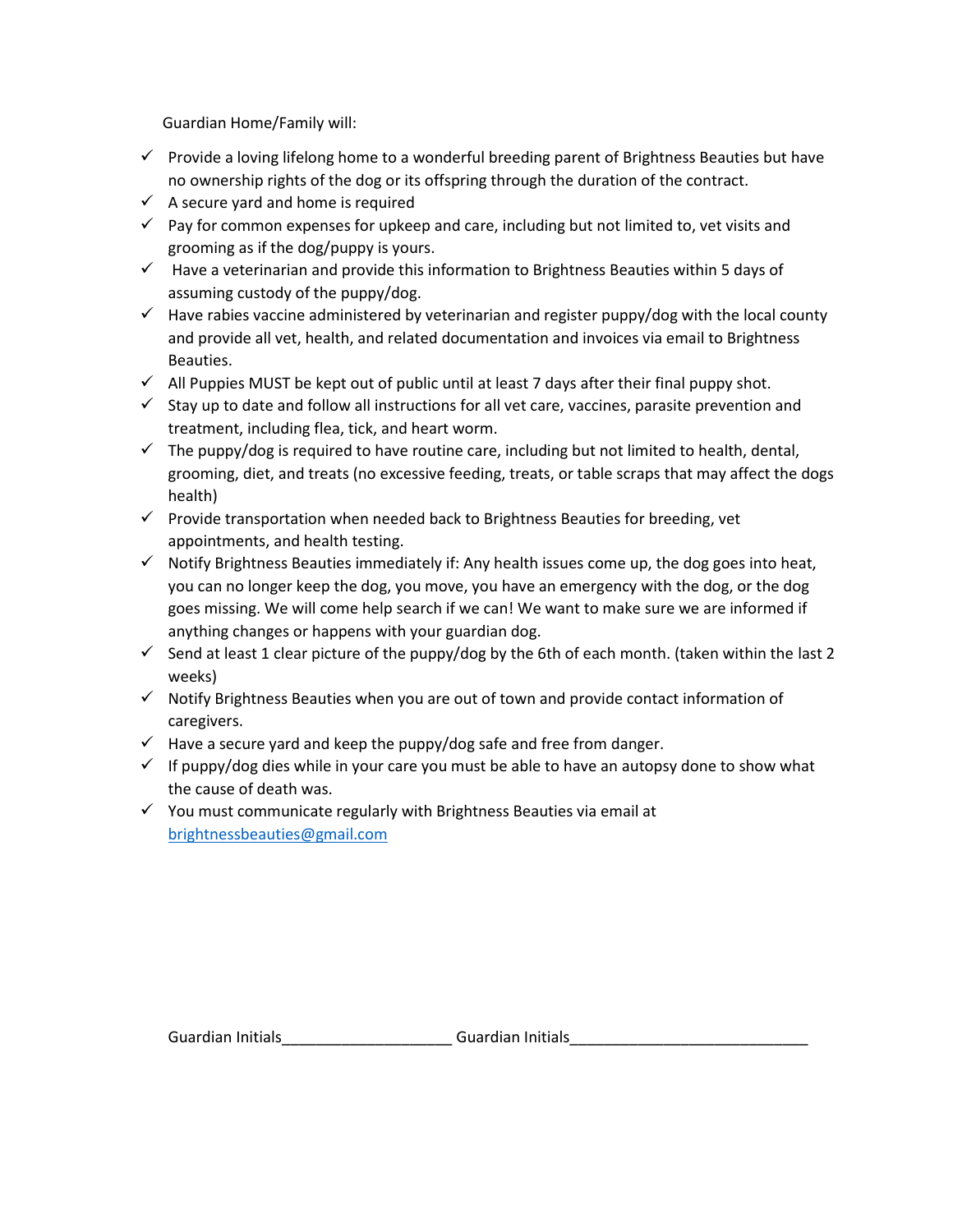Guardian Home/Family will:

- $\checkmark$  Provide a loving lifelong home to a wonderful breeding parent of Brightness Beauties but have no ownership rights of the dog or its offspring through the duration of the contract.
- $\checkmark$  A secure yard and home is required
- $\checkmark$  Pay for common expenses for upkeep and care, including but not limited to, vet visits and grooming as if the dog/puppy is yours.
- $\checkmark$  Have a veterinarian and provide this information to Brightness Beauties within 5 days of assuming custody of the puppy/dog.
- $\checkmark$  Have rabies vaccine administered by veterinarian and register puppy/dog with the local county and provide all vet, health, and related documentation and invoices via email to Brightness Beauties.
- $\checkmark$  All Puppies MUST be kept out of public until at least 7 days after their final puppy shot.
- ✓ Stay up to date and follow all instructions for all vet care, vaccines, parasite prevention and treatment, including flea, tick, and heart worm.
- $\checkmark$  The puppy/dog is required to have routine care, including but not limited to health, dental, grooming, diet, and treats (no excessive feeding, treats, or table scraps that may affect the dogs health)
- $\checkmark$  Provide transportation when needed back to Brightness Beauties for breeding, vet appointments, and health testing.
- $\checkmark$  Notify Brightness Beauties immediately if: Any health issues come up, the dog goes into heat, you can no longer keep the dog, you move, you have an emergency with the dog, or the dog goes missing. We will come help search if we can! We want to make sure we are informed if anything changes or happens with your guardian dog.
- $\checkmark$  Send at least 1 clear picture of the puppy/dog by the 6th of each month. (taken within the last 2 weeks)
- $\checkmark$  Notify Brightness Beauties when you are out of town and provide contact information of caregivers.
- $\checkmark$  Have a secure yard and keep the puppy/dog safe and free from danger.
- $\checkmark$  If puppy/dog dies while in your care you must be able to have an autopsy done to show what the cause of death was.
- $\checkmark$  You must communicate regularly with Brightness Beauties via email at [brightnessbeauties@gmail.com](mailto:brightnessbeauties@gmail.com)

Guardian Initials\_\_\_\_\_\_\_\_\_\_\_\_\_\_\_\_\_\_\_\_\_\_\_\_\_\_\_Guardian Initials\_\_\_\_\_\_\_\_\_\_\_\_\_\_\_\_\_\_\_\_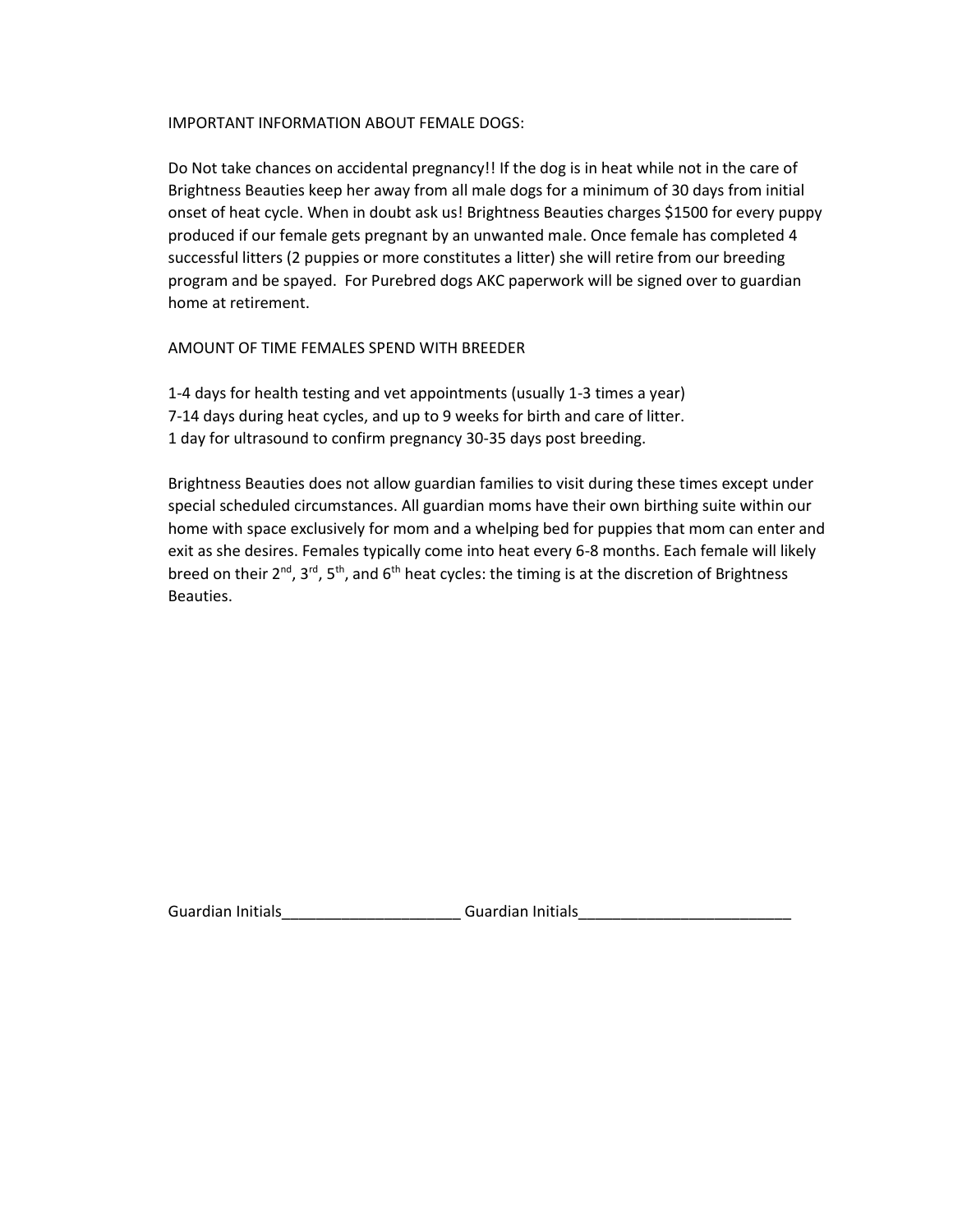### IMPORTANT INFORMATION ABOUT FEMALE DOGS:

Do Not take chances on accidental pregnancy!! If the dog is in heat while not in the care of Brightness Beauties keep her away from all male dogs for a minimum of 30 days from initial onset of heat cycle. When in doubt ask us! Brightness Beauties charges \$1500 for every puppy produced if our female gets pregnant by an unwanted male. Once female has completed 4 successful litters (2 puppies or more constitutes a litter) she will retire from our breeding program and be spayed. For Purebred dogs AKC paperwork will be signed over to guardian home at retirement.

AMOUNT OF TIME FEMALES SPEND WITH BREEDER

1-4 days for health testing and vet appointments (usually 1-3 times a year) 7-14 days during heat cycles, and up to 9 weeks for birth and care of litter. 1 day for ultrasound to confirm pregnancy 30-35 days post breeding.

Brightness Beauties does not allow guardian families to visit during these times except under special scheduled circumstances. All guardian moms have their own birthing suite within our home with space exclusively for mom and a whelping bed for puppies that mom can enter and exit as she desires. Females typically come into heat every 6-8 months. Each female will likely breed on their  $2^{nd}$ ,  $3^{rd}$ ,  $5^{th}$ , and  $6^{th}$  heat cycles: the timing is at the discretion of Brightness Beauties.

Guardian Initials\_\_\_\_\_\_\_\_\_\_\_\_\_\_\_\_\_\_\_\_\_\_\_\_\_\_Guardian Initials\_\_\_\_\_\_\_\_\_\_\_\_\_\_\_\_\_\_\_\_